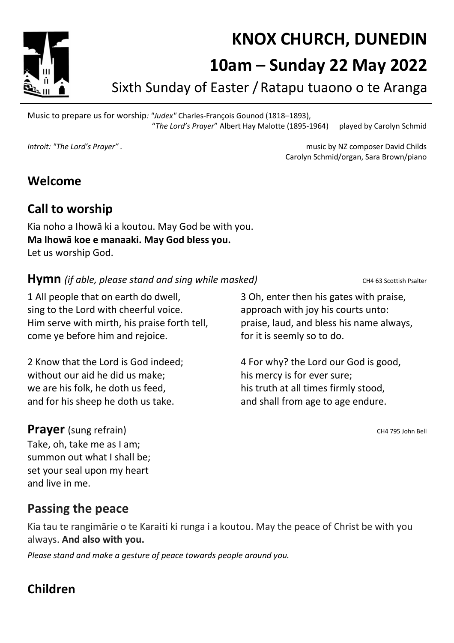KNOX CHURCH, DUNEDIN

# 10am – Sunday 22 May 2022

Sixth Sunday of Easter /Ratapu tuaono o te Aranga

Music to prepare us for worship: "Judex" Charles-François Gounod (1818–1893), "The Lord's Prayer" Albert Hay Malotte (1895-1964) played by Carolyn Schmid

Introit: "The Lord's Prayer" . The Lord's Prayer" . The Lord's Prayer and Childs in the Maximusic by NZ composer David Childs Carolyn Schmid/organ, Sara Brown/piano

### Welcome

### Call to worship

Kia noho a Ihowā ki a koutou. May God be with you. Ma lhowā koe e manaaki. May God bless you. Let us worship God.

**Hymn** (if able, please stand and sing while masked) CH4 63 Scottish Psalter

1 All people that on earth do dwell, sing to the Lord with cheerful voice. Him serve with mirth, his praise forth tell, come ye before him and rejoice.

2 Know that the Lord is God indeed; without our aid he did us make; we are his folk, he doth us feed, and for his sheep he doth us take.

#### **Prayer** (sung refrain) CH4 795 John Bell

Take, oh, take me as I am; summon out what I shall be; set your seal upon my heart and live in me.

Passing the peace

Kia tau te rangimārie o te Karaiti ki runga i a koutou. May the peace of Christ be with you always. And also with you.

Please stand and make a gesture of peace towards people around you.

# Children

3 Oh, enter then his gates with praise, approach with joy his courts unto: praise, laud, and bless his name always, for it is seemly so to do.

4 For why? the Lord our God is good, his mercy is for ever sure; his truth at all times firmly stood, and shall from age to age endure.

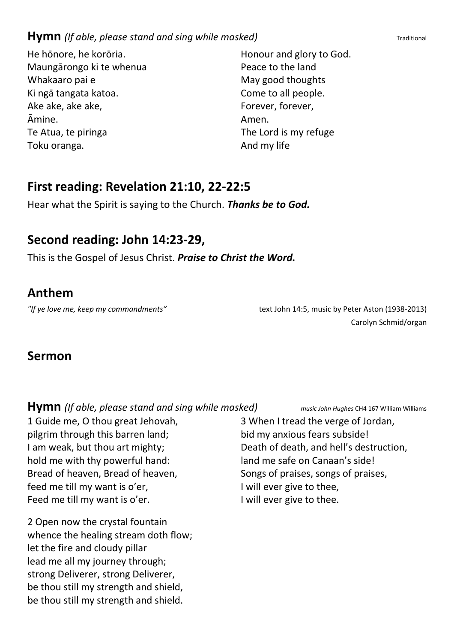#### **Hymn** (If able, please stand and sing while masked) Traditional

He hōnore, he korōria. Maungārongo ki te whenua Whakaaro pai e Ki ngā tangata katoa. Ake ake, ake ake, Āmine. Te Atua, te piringa Toku oranga.

Honour and glory to God. Peace to the land May good thoughts Come to all people. Forever, forever, Amen. The Lord is my refuge And my life

#### First reading: Revelation 21:10, 22-22:5

Hear what the Spirit is saying to the Church. Thanks be to God.

#### Second reading: John 14:23-29,

This is the Gospel of Jesus Christ. Praise to Christ the Word.

#### Anthem

"If ye love me, keep my commandments" text John 14:5, music by Peter Aston (1938-2013) Carolyn Schmid/organ

#### Sermon

**Hymn** (If able, please stand and sing while masked) music John Hughes CH4 167 William Williams

1 Guide me, O thou great Jehovah, pilgrim through this barren land; I am weak, but thou art mighty; hold me with thy powerful hand: Bread of heaven, Bread of heaven, feed me till my want is o'er, Feed me till my want is o'er.

2 Open now the crystal fountain whence the healing stream doth flow; let the fire and cloudy pillar lead me all my journey through; strong Deliverer, strong Deliverer, be thou still my strength and shield, be thou still my strength and shield.

3 When I tread the verge of Jordan, bid my anxious fears subside! Death of death, and hell's destruction, land me safe on Canaan's side! Songs of praises, songs of praises, I will ever give to thee, I will ever give to thee.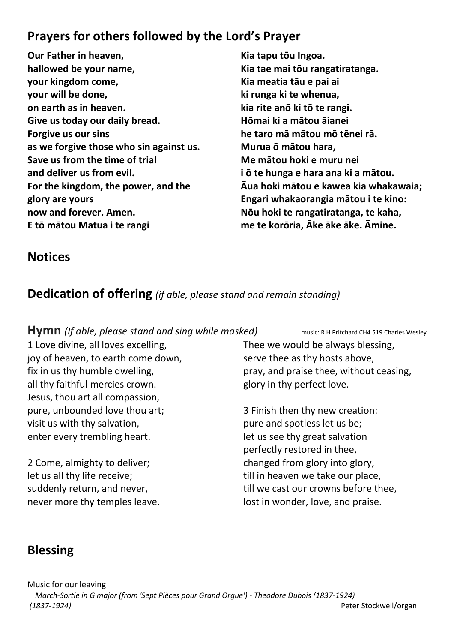# Prayers for others followed by the Lord's Prayer

- Our Father in heaven, hallowed be your name, your kingdom come, your will be done, on earth as in heaven. Give us today our daily bread. Forgive us our sins as we forgive those who sin against us. Save us from the time of trial and deliver us from evil. For the kingdom, the power, and the glory are yours now and forever. Amen. E tō mātou Matua i te rangi
- Kia tapu tōu Ingoa. Kia tae mai tōu rangatiratanga. Kia meatia tāu e pai ai ki runga ki te whenua, kia rite anō ki tō te rangi. Hōmai ki a mātou āianei he taro mā mātou mō tēnei rā. Murua ō mātou hara, Me mātou hoki e muru nei i ō te hunga e hara ana ki a mātou. Āua hoki mātou e kawea kia whakawaia; Engari whakaorangia mātou i te kino: Nōu hoki te rangatiratanga, te kaha, me te korōria, Āke āke āke. Āmine.

### **Notices**

## Dedication of offering (if able, please stand and remain standing)

#### Hymn (If able, please stand and sing while masked) music: R H Pritchard CH4 519 Charles Wesley

1 Love divine, all loves excelling, joy of heaven, to earth come down, fix in us thy humble dwelling, all thy faithful mercies crown. Jesus, thou art all compassion, pure, unbounded love thou art; visit us with thy salvation, enter every trembling heart.

2 Come, almighty to deliver; let us all thy life receive; suddenly return, and never, never more thy temples leave. Thee we would be always blessing, serve thee as thy hosts above, pray, and praise thee, without ceasing, glory in thy perfect love.

3 Finish then thy new creation: pure and spotless let us be; let us see thy great salvation perfectly restored in thee, changed from glory into glory, till in heaven we take our place, till we cast our crowns before thee, lost in wonder, love, and praise.

# Blessing